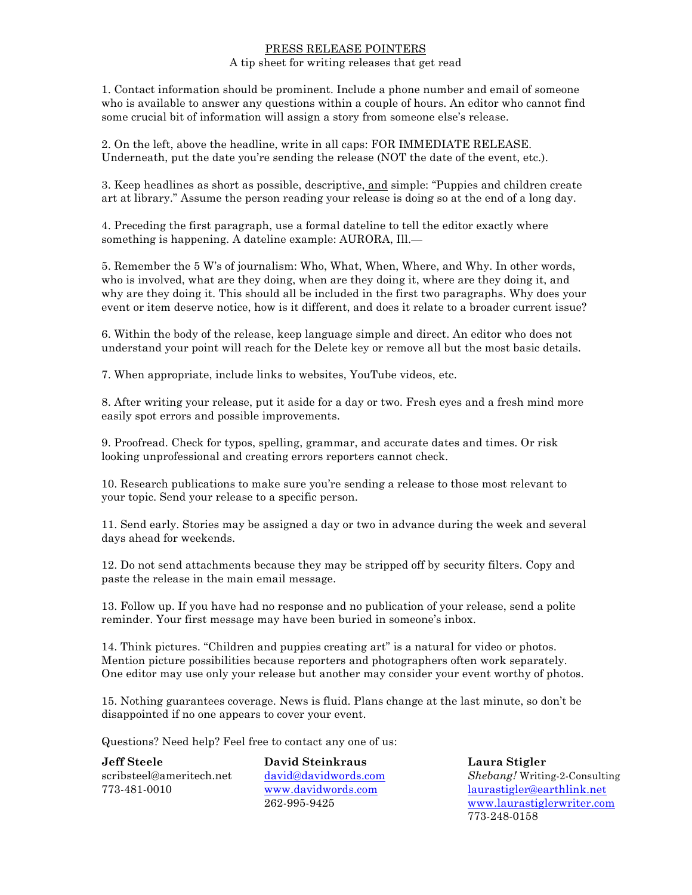# PRESS RELEASE POINTERS

# A tip sheet for writing releases that get read

1. Contact information should be prominent. Include a phone number and email of someone who is available to answer any questions within a couple of hours. An editor who cannot find some crucial bit of information will assign a story from someone else's release.

2. On the left, above the headline, write in all caps: FOR IMMEDIATE RELEASE. Underneath, put the date you're sending the release (NOT the date of the event, etc.).

3. Keep headlines as short as possible, descriptive, and simple: "Puppies and children create art at library." Assume the person reading your release is doing so at the end of a long day.

4. Preceding the first paragraph, use a formal dateline to tell the editor exactly where something is happening. A dateline example: AURORA, Ill.—

5. Remember the 5 W's of journalism: Who, What, When, Where, and Why. In other words, who is involved, what are they doing, when are they doing it, where are they doing it, and why are they doing it. This should all be included in the first two paragraphs. Why does your event or item deserve notice, how is it different, and does it relate to a broader current issue?

6. Within the body of the release, keep language simple and direct. An editor who does not understand your point will reach for the Delete key or remove all but the most basic details.

7. When appropriate, include links to websites, YouTube videos, etc.

8. After writing your release, put it aside for a day or two. Fresh eyes and a fresh mind more easily spot errors and possible improvements.

9. Proofread. Check for typos, spelling, grammar, and accurate dates and times. Or risk looking unprofessional and creating errors reporters cannot check.

10. Research publications to make sure you're sending a release to those most relevant to your topic. Send your release to a specific person.

11. Send early. Stories may be assigned a day or two in advance during the week and several days ahead for weekends.

12. Do not send attachments because they may be stripped off by security filters. Copy and paste the release in the main email message.

13. Follow up. If you have had no response and no publication of your release, send a polite reminder. Your first message may have been buried in someone's inbox.

14. Think pictures. "Children and puppies creating art" is a natural for video or photos. Mention picture possibilities because reporters and photographers often work separately. One editor may use only your release but another may consider your event worthy of photos.

15. Nothing guarantees coverage. News is fluid. Plans change at the last minute, so don't be disappointed if no one appears to cover your event.

Questions? Need help? Feel free to contact any one of us:

**Jeff Steele David Steinkraus Laura Stigler**

scribsteel@ameritech.net david@davidwords.com *Shebang!* Writing-2-Consulting 773-481-0010 www.davidwords.com laurastigler@earthlink.net 262-995-9425 www.laurastiglerwriter.com 773-248-0158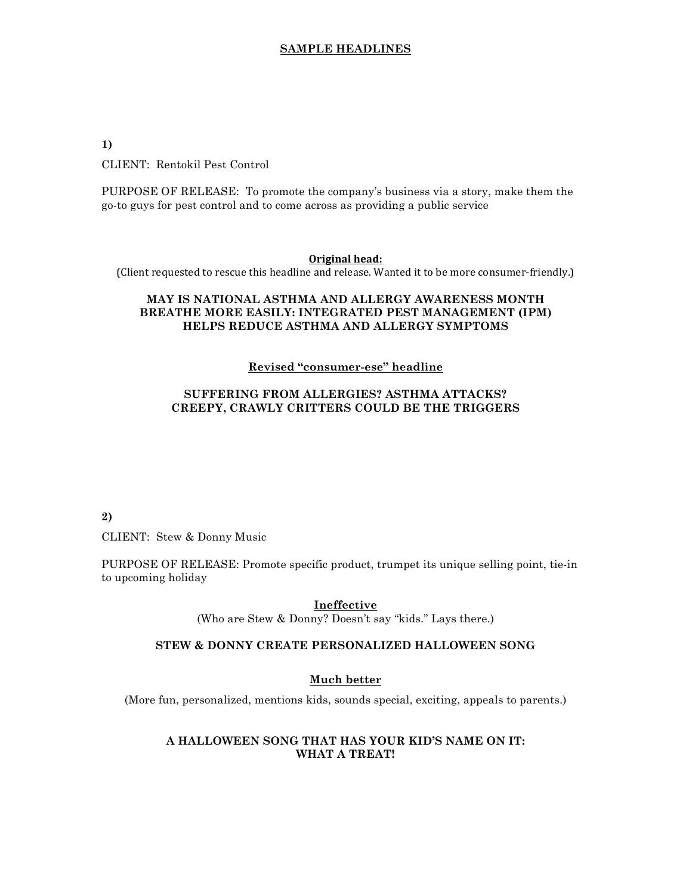**1)**

CLIENT: Rentokil Pest Control

PURPOSE OF RELEASE: To promote the company's business via a story, make them the go-to guys for pest control and to come across as providing a public service

#### **Original head:**

(Client requested to rescue this headline and release. Wanted it to be more consumer-friendly.)

# **MAY IS NATIONAL ASTHMA AND ALLERGY AWARENESS MONTH BREATHE MORE EASILY: INTEGRATED PEST MANAGEMENT (IPM) HELPS REDUCE ASTHMA AND ALLERGY SYMPTOMS**

## **Revised "consumer-ese" headline**

# **SUFFERING FROM ALLERGIES? ASTHMA ATTACKS? CREEPY, CRAWLY CRITTERS COULD BE THE TRIGGERS**

**2)**

CLIENT: Stew & Donny Music

PURPOSE OF RELEASE: Promote specific product, trumpet its unique selling point, tie-in to upcoming holiday

**Ineffective** 

(Who are Stew & Donny? Doesn't say "kids." Lays there.)

### **STEW & DONNY CREATE PERSONALIZED HALLOWEEN SONG**

### **Much better**

(More fun, personalized, mentions kids, sounds special, exciting, appeals to parents.)

# **A HALLOWEEN SONG THAT HAS YOUR KID'S NAME ON IT: WHAT A TREAT!**